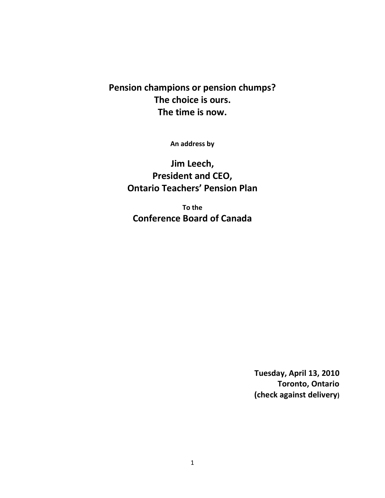## **Pension champions or pension chumps? The choice is ours. The time is now.**

**An address by**

**Jim Leech, President and CEO, Ontario Teachers' Pension Plan**

**To the Conference Board of Canada**

> **Tuesday, April 13, 2010 Toronto, Ontario (check against delivery)**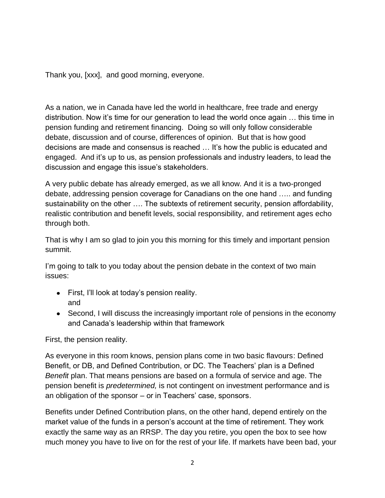Thank you, [xxx], and good morning, everyone.

As a nation, we in Canada have led the world in healthcare, free trade and energy distribution. Now it"s time for our generation to lead the world once again … this time in pension funding and retirement financing. Doing so will only follow considerable debate, discussion and of course, differences of opinion. But that is how good decisions are made and consensus is reached ... It's how the public is educated and engaged. And it"s up to us, as pension professionals and industry leaders, to lead the discussion and engage this issue"s stakeholders.

A very public debate has already emerged, as we all know. And it is a two-pronged debate, addressing pension coverage for Canadians on the one hand ….. and funding sustainability on the other …. The subtexts of retirement security, pension affordability, realistic contribution and benefit levels, social responsibility, and retirement ages echo through both.

That is why I am so glad to join you this morning for this timely and important pension summit.

I'm going to talk to you today about the pension debate in the context of two main issues:

- First, I"ll look at today"s pension reality. and
- Second, I will discuss the increasingly important role of pensions in the economy and Canada"s leadership within that framework

First, the pension reality.

As everyone in this room knows, pension plans come in two basic flavours: Defined Benefit, or DB, and Defined Contribution, or DC. The Teachers' plan is a Defined *Benefit* plan. That means pensions are based on a formula of service and age. The pension benefit is *predetermined,* is not contingent on investment performance and is an obligation of the sponsor  $-$  or in Teachers' case, sponsors.

Benefits under Defined Contribution plans, on the other hand, depend entirely on the market value of the funds in a person"s account at the time of retirement. They work exactly the same way as an RRSP. The day you retire, you open the box to see how much money you have to live on for the rest of your life. If markets have been bad, your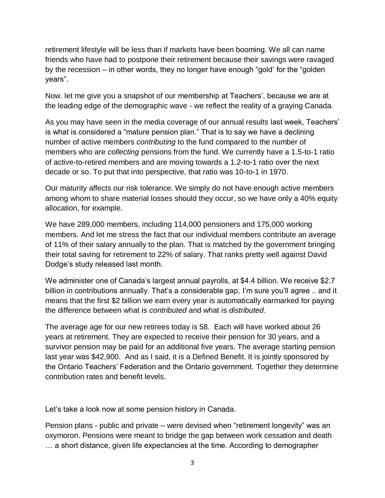retirement lifestyle will be less than if markets have been booming. We all can name friends who have had to postpone their retirement because their savings were ravaged by the recession – in other words, they no longer have enough "gold" for the "golden years".

Now. let me give you a snapshot of our membership at Teachers", because we are at the leading edge of the demographic wave - we reflect the reality of a graying Canada.

As you may have seen in the media coverage of our annual results last week, Teachers" is what is considered a "mature pension plan." That is to say we have a declining number of active members *contributing* to the fund compared to the number of members who are *collecting* pensions from the fund. We currently have a 1.5-to-1 ratio of active-to-retired members and are moving towards a 1.2-to-1 ratio over the next decade or so. To put that into perspective, that ratio was 10-to-1 in 1970.

Our maturity affects our risk tolerance. We simply do not have enough active members among whom to share material losses should they occur, so we have only a 40% equity allocation, for example.

We have 289,000 members, including 114,000 pensioners and 175,000 working members. And let me stress the fact that our individual members contribute an average of 11% of their salary annually to the plan. That is matched by the government bringing their total saving for retirement to 22% of salary. That ranks pretty well against David Dodge"s study released last month.

We administer one of Canada"s largest annual payrolls, at \$4.4 billion. We receive \$2.7 billion in contributions annually. That's a considerable gap, I'm sure you'll agree .. and it means that the first \$2 billion we earn every year is automatically earmarked for paying the difference between what is *contributed* and what is *distributed*.

The average age for our new retirees today is 58. Each will have worked about 26 years at retirement. They are expected to receive their pension for 30 years, and a survivor pension may be paid for an additional five years. The average starting pension last year was \$42,900. And as I said, it is a Defined Benefit. It is jointly sponsored by the Ontario Teachers" Federation and the Ontario government. Together they determine contribution rates and benefit levels.

Let"s take a look now at some pension history in Canada.

Pension plans - public and private – were devised when "retirement longevity" was an oxymoron. Pensions were meant to bridge the gap between work cessation and death … a short distance, given life expectancies at the time. According to demographer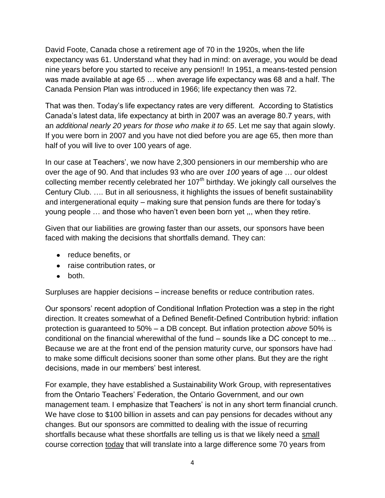David Foote, Canada chose a retirement age of 70 in the 1920s, when the life expectancy was 61. Understand what they had in mind: on average, you would be dead nine years before you started to receive any pension!! In 1951, a means-tested pension was made available at age 65 … when average life expectancy was 68 and a half. The Canada Pension Plan was introduced in 1966; life expectancy then was 72.

That was then. Today"s life expectancy rates are very different. According to Statistics Canada"s latest data, life expectancy at birth in 2007 was an average 80.7 years, with an *additional nearly 20 years for those who make it to 65*. Let me say that again slowly. If you were born in 2007 and you have not died before you are age 65, then more than half of you will live to over 100 years of age.

In our case at Teachers', we now have 2,300 pensioners in our membership who are over the age of 90. And that includes 93 who are over *100* years of age … our oldest collecting member recently celebrated her  $107<sup>th</sup>$  birthday. We jokingly call ourselves the Century Club. …. But in all seriousness, it highlights the issues of benefit sustainability and intergenerational equity – making sure that pension funds are there for today"s young people … and those who haven"t even been born yet ,,, when they retire.

Given that our liabilities are growing faster than our assets, our sponsors have been faced with making the decisions that shortfalls demand. They can:

- reduce benefits, or
- raise contribution rates, or
- $\bullet$  both.

Surpluses are happier decisions – increase benefits or reduce contribution rates.

Our sponsors" recent adoption of Conditional Inflation Protection was a step in the right direction. It creates somewhat of a Defined Benefit-Defined Contribution hybrid: inflation protection is guaranteed to 50% – a DB concept. But inflation protection *above* 50% is conditional on the financial wherewithal of the fund – sounds like a DC concept to me… Because we are at the front end of the pension maturity curve, our sponsors have had to make some difficult decisions sooner than some other plans. But they are the right decisions, made in our members' best interest.

For example, they have established a Sustainability Work Group, with representatives from the Ontario Teachers' Federation, the Ontario Government, and our own management team. I emphasize that Teachers' is not in any short term financial crunch. We have close to \$100 billion in assets and can pay pensions for decades without any changes. But our sponsors are committed to dealing with the issue of recurring shortfalls because what these shortfalls are telling us is that we likely need a small course correction today that will translate into a large difference some 70 years from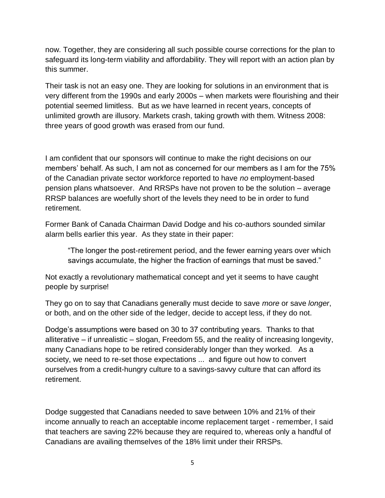now. Together, they are considering all such possible course corrections for the plan to safeguard its long-term viability and affordability. They will report with an action plan by this summer.

Their task is not an easy one. They are looking for solutions in an environment that is very different from the 1990s and early 2000s – when markets were flourishing and their potential seemed limitless. But as we have learned in recent years, concepts of unlimited growth are illusory. Markets crash, taking growth with them. Witness 2008: three years of good growth was erased from our fund.

I am confident that our sponsors will continue to make the right decisions on our members' behalf. As such, I am not as concerned for our members as I am for the 75% of the Canadian private sector workforce reported to have *no* employment-based pension plans whatsoever. And RRSPs have not proven to be the solution – average RRSP balances are woefully short of the levels they need to be in order to fund retirement.

Former Bank of Canada Chairman David Dodge and his co-authors sounded similar alarm bells earlier this year. As they state in their paper:

"The longer the post-retirement period, and the fewer earning years over which savings accumulate, the higher the fraction of earnings that must be saved."

Not exactly a revolutionary mathematical concept and yet it seems to have caught people by surprise!

They go on to say that Canadians generally must decide to save *more* or save *longer*, or both, and on the other side of the ledger, decide to accept less, if they do not.

Dodge"s assumptions were based on 30 to 37 contributing years. Thanks to that alliterative – if unrealistic – slogan, Freedom 55, and the reality of increasing longevity, many Canadians hope to be retired considerably longer than they worked. As a society, we need to re-set those expectations ... and figure out how to convert ourselves from a credit-hungry culture to a savings-savvy culture that can afford its retirement.

Dodge suggested that Canadians needed to save between 10% and 21% of their income annually to reach an acceptable income replacement target - remember, I said that teachers are saving 22% because they are required to, whereas only a handful of Canadians are availing themselves of the 18% limit under their RRSPs.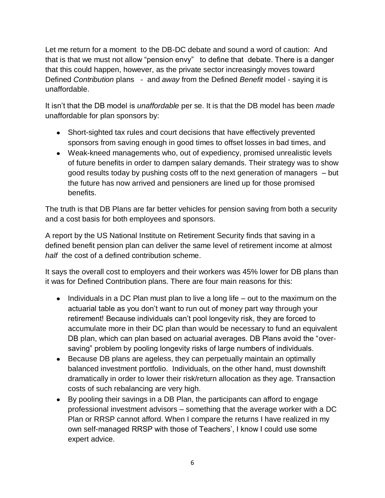Let me return for a moment to the DB-DC debate and sound a word of caution: And that is that we must not allow "pension envy" to define that debate. There is a danger that this could happen, however, as the private sector increasingly moves toward Defined *Contribution* plans - and *away* from the Defined *Benefit* model - saying it is unaffordable.

It isn"t that the DB model is *unaffordable* per se. It is that the DB model has been *made* unaffordable for plan sponsors by:

- Short-sighted tax rules and court decisions that have effectively prevented sponsors from saving enough in good times to offset losses in bad times, and
- Weak-kneed managements who, out of expediency, promised unrealistic levels of future benefits in order to dampen salary demands. Their strategy was to show good results today by pushing costs off to the next generation of managers – but the future has now arrived and pensioners are lined up for those promised benefits.

The truth is that DB Plans are far better vehicles for pension saving from both a security and a cost basis for both employees and sponsors.

A report by the US National Institute on Retirement Security finds that saving in a defined benefit pension plan can deliver the same level of retirement income at almost *half* the cost of a defined contribution scheme.

It says the overall cost to employers and their workers was 45% lower for DB plans than it was for Defined Contribution plans. There are four main reasons for this:

- $\bullet$  Individuals in a DC Plan must plan to live a long life out to the maximum on the actuarial table as you don"t want to run out of money part way through your retirement! Because individuals can"t pool longevity risk, they are forced to accumulate more in their DC plan than would be necessary to fund an equivalent DB plan, which can plan based on actuarial averages. DB Plans avoid the "oversaving" problem by pooling longevity risks of large numbers of individuals.
- Because DB plans are ageless, they can perpetually maintain an optimally balanced investment portfolio. Individuals, on the other hand, must downshift dramatically in order to lower their risk/return allocation as they age. Transaction costs of such rebalancing are very high.
- By pooling their savings in a DB Plan, the participants can afford to engage professional investment advisors – something that the average worker with a DC Plan or RRSP cannot afford. When I compare the returns I have realized in my own self-managed RRSP with those of Teachers', I know I could use some expert advice.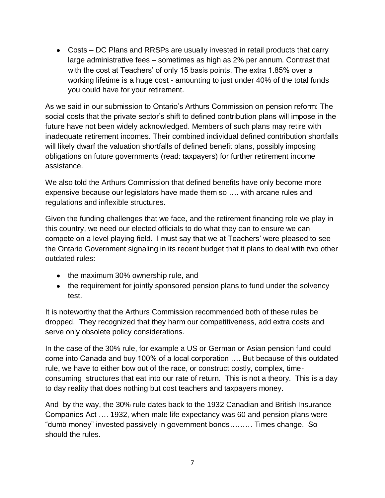Costs – DC Plans and RRSPs are usually invested in retail products that carry large administrative fees – sometimes as high as 2% per annum. Contrast that with the cost at Teachers' of only 15 basis points. The extra 1.85% over a working lifetime is a huge cost - amounting to just under 40% of the total funds you could have for your retirement.

As we said in our submission to Ontario"s Arthurs Commission on pension reform: The social costs that the private sector"s shift to defined contribution plans will impose in the future have not been widely acknowledged. Members of such plans may retire with inadequate retirement incomes. Their combined individual defined contribution shortfalls will likely dwarf the valuation shortfalls of defined benefit plans, possibly imposing obligations on future governments (read: taxpayers) for further retirement income assistance.

We also told the Arthurs Commission that defined benefits have only become more expensive because our legislators have made them so …. with arcane rules and regulations and inflexible structures.

Given the funding challenges that we face, and the retirement financing role we play in this country, we need our elected officials to do what they can to ensure we can compete on a level playing field. I must say that we at Teachers' were pleased to see the Ontario Government signaling in its recent budget that it plans to deal with two other outdated rules:

- the maximum 30% ownership rule, and
- the requirement for jointly sponsored pension plans to fund under the solvency test.

It is noteworthy that the Arthurs Commission recommended both of these rules be dropped. They recognized that they harm our competitiveness, add extra costs and serve only obsolete policy considerations.

In the case of the 30% rule, for example a US or German or Asian pension fund could come into Canada and buy 100% of a local corporation …. But because of this outdated rule, we have to either bow out of the race, or construct costly, complex, timeconsuming structures that eat into our rate of return. This is not a theory. This is a day to day reality that does nothing but cost teachers and taxpayers money.

And by the way, the 30% rule dates back to the 1932 Canadian and British Insurance Companies Act …. 1932, when male life expectancy was 60 and pension plans were "dumb money" invested passively in government bonds……… Times change. So should the rules.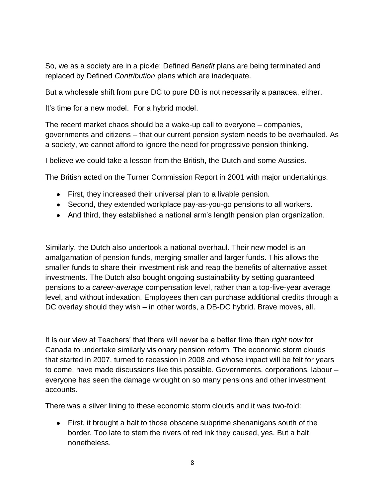So, we as a society are in a pickle: Defined *Benefit* plans are being terminated and replaced by Defined *Contribution* plans which are inadequate.

But a wholesale shift from pure DC to pure DB is not necessarily a panacea, either.

It's time for a new model. For a hybrid model.

The recent market chaos should be a wake-up call to everyone – companies, governments and citizens – that our current pension system needs to be overhauled. As a society, we cannot afford to ignore the need for progressive pension thinking.

I believe we could take a lesson from the British, the Dutch and some Aussies.

The British acted on the Turner Commission Report in 2001 with major undertakings.

- First, they increased their universal plan to a livable pension.
- Second, they extended workplace pay-as-you-go pensions to all workers.
- And third, they established a national arm"s length pension plan organization.

Similarly, the Dutch also undertook a national overhaul. Their new model is an amalgamation of pension funds, merging smaller and larger funds. This allows the smaller funds to share their investment risk and reap the benefits of alternative asset investments. The Dutch also bought ongoing sustainability by setting guaranteed pensions to a *career-average* compensation level, rather than a top-five-year average level, and without indexation. Employees then can purchase additional credits through a DC overlay should they wish – in other words, a DB-DC hybrid. Brave moves, all.

It is our view at Teachers" that there will never be a better time than *right now* for Canada to undertake similarly visionary pension reform. The economic storm clouds that started in 2007, turned to recession in 2008 and whose impact will be felt for years to come, have made discussions like this possible. Governments, corporations, labour – everyone has seen the damage wrought on so many pensions and other investment accounts.

There was a silver lining to these economic storm clouds and it was two-fold:

First, it brought a halt to those obscene subprime shenanigans south of the border. Too late to stem the rivers of red ink they caused, yes. But a halt nonetheless.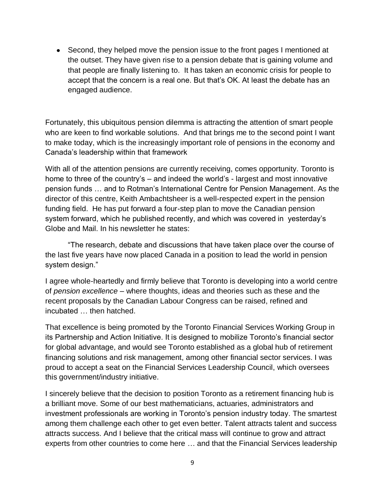Second, they helped move the pension issue to the front pages I mentioned at the outset. They have given rise to a pension debate that is gaining volume and that people are finally listening to. It has taken an economic crisis for people to accept that the concern is a real one. But that"s OK. At least the debate has an engaged audience.

Fortunately, this ubiquitous pension dilemma is attracting the attention of smart people who are keen to find workable solutions. And that brings me to the second point I want to make today, which is the increasingly important role of pensions in the economy and Canada"s leadership within that framework

With all of the attention pensions are currently receiving, comes opportunity. Toronto is home to three of the country's – and indeed the world's - largest and most innovative pension funds … and to Rotman"s International Centre for Pension Management. As the director of this centre, Keith Ambachtsheer is a well-respected expert in the pension funding field. He has put forward a four-step plan to move the Canadian pension system forward, which he published recently, and which was covered in yesterday"s Globe and Mail. In his newsletter he states:

"The research, debate and discussions that have taken place over the course of the last five years have now placed Canada in a position to lead the world in pension system design."

I agree whole-heartedly and firmly believe that Toronto is developing into a world centre of *pension excellence* – where thoughts, ideas and theories such as these and the recent proposals by the Canadian Labour Congress can be raised, refined and incubated … then hatched.

That excellence is being promoted by the Toronto Financial Services Working Group in its Partnership and Action Initiative. It is designed to mobilize Toronto"s financial sector for global advantage, and would see Toronto established as a global hub of retirement financing solutions and risk management, among other financial sector services. I was proud to accept a seat on the Financial Services Leadership Council, which oversees this government/industry initiative.

I sincerely believe that the decision to position Toronto as a retirement financing hub is a brilliant move. Some of our best mathematicians, actuaries, administrators and investment professionals are working in Toronto's pension industry today. The smartest among them challenge each other to get even better. Talent attracts talent and success attracts success. And I believe that the critical mass will continue to grow and attract experts from other countries to come here … and that the Financial Services leadership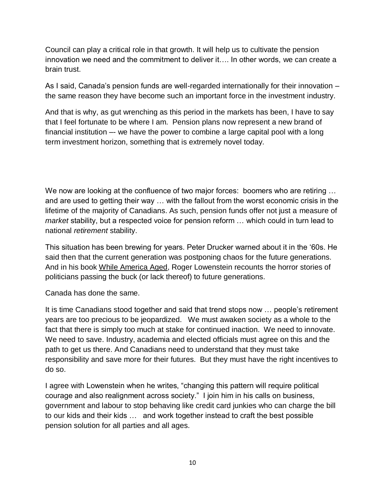Council can play a critical role in that growth. It will help us to cultivate the pension innovation we need and the commitment to deliver it…. In other words, we can create a brain trust.

As I said, Canada's pension funds are well-regarded internationally for their innovation – the same reason they have become such an important force in the investment industry.

And that is why, as gut wrenching as this period in the markets has been, I have to say that I feel fortunate to be where I am. Pension plans now represent a new brand of financial institution –- we have the power to combine a large capital pool with a long term investment horizon, something that is extremely novel today.

We now are looking at the confluence of two major forces: boomers who are retiring ... and are used to getting their way … with the fallout from the worst economic crisis in the lifetime of the majority of Canadians. As such, pension funds offer not just a measure of *market* stability, but a respected voice for pension reform … which could in turn lead to national *retirement* stability.

This situation has been brewing for years. Peter Drucker warned about it in the "60s. He said then that the current generation was postponing chaos for the future generations. And in his book While America Aged, Roger Lowenstein recounts the horror stories of politicians passing the buck (or lack thereof) to future generations.

Canada has done the same.

It is time Canadians stood together and said that trend stops now … people"s retirement years are too precious to be jeopardized. We must awaken society as a whole to the fact that there is simply too much at stake for continued inaction. We need to innovate. We need to save. Industry, academia and elected officials must agree on this and the path to get us there. And Canadians need to understand that they must take responsibility and save more for their futures. But they must have the right incentives to do so.

I agree with Lowenstein when he writes, "changing this pattern will require political courage and also realignment across society." I join him in his calls on business, government and labour to stop behaving like credit card junkies who can charge the bill to our kids and their kids … and work together instead to craft the best possible pension solution for all parties and all ages.